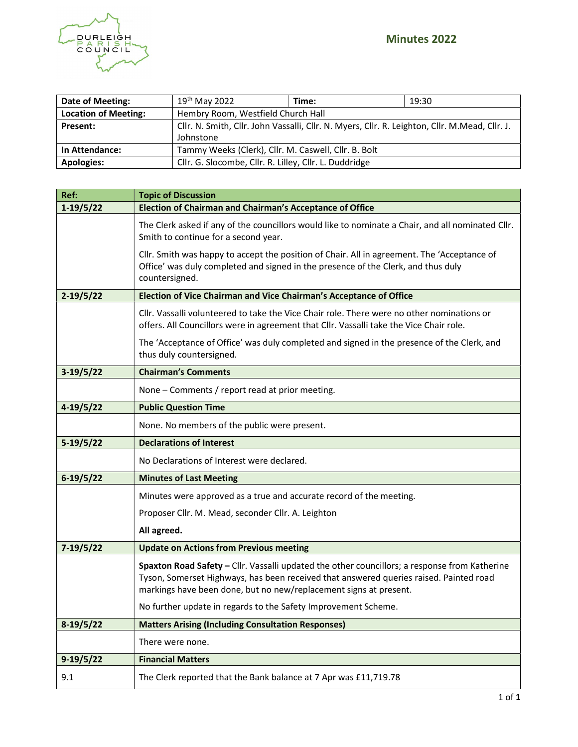

| Date of Meeting:            | 19th May 2022                                          | Time:                                                                                          | 19:30 |  |
|-----------------------------|--------------------------------------------------------|------------------------------------------------------------------------------------------------|-------|--|
| <b>Location of Meeting:</b> | Hembry Room, Westfield Church Hall                     |                                                                                                |       |  |
| Present:                    |                                                        | Cllr. N. Smith, Cllr. John Vassalli, Cllr. N. Myers, Cllr. R. Leighton, Cllr. M.Mead, Cllr. J. |       |  |
|                             | Johnstone                                              |                                                                                                |       |  |
| In Attendance:              | Tammy Weeks (Clerk), Cllr. M. Caswell, Cllr. B. Bolt   |                                                                                                |       |  |
| <b>Apologies:</b>           | Cllr. G. Slocombe, Cllr. R. Lilley, Cllr. L. Duddridge |                                                                                                |       |  |

| Ref:          | <b>Topic of Discussion</b>                                                                                                                                                                                                                                   |
|---------------|--------------------------------------------------------------------------------------------------------------------------------------------------------------------------------------------------------------------------------------------------------------|
| $1-19/5/22$   | <b>Election of Chairman and Chairman's Acceptance of Office</b>                                                                                                                                                                                              |
|               | The Clerk asked if any of the councillors would like to nominate a Chair, and all nominated Cllr.<br>Smith to continue for a second year.                                                                                                                    |
|               | Cllr. Smith was happy to accept the position of Chair. All in agreement. The 'Acceptance of<br>Office' was duly completed and signed in the presence of the Clerk, and thus duly<br>countersigned.                                                           |
| $2 - 19/5/22$ | Election of Vice Chairman and Vice Chairman's Acceptance of Office                                                                                                                                                                                           |
|               | Cllr. Vassalli volunteered to take the Vice Chair role. There were no other nominations or<br>offers. All Councillors were in agreement that Cllr. Vassalli take the Vice Chair role.                                                                        |
|               | The 'Acceptance of Office' was duly completed and signed in the presence of the Clerk, and<br>thus duly countersigned.                                                                                                                                       |
| $3-19/5/22$   | <b>Chairman's Comments</b>                                                                                                                                                                                                                                   |
|               | None - Comments / report read at prior meeting.                                                                                                                                                                                                              |
| $4-19/5/22$   | <b>Public Question Time</b>                                                                                                                                                                                                                                  |
|               | None. No members of the public were present.                                                                                                                                                                                                                 |
| $5-19/5/22$   | <b>Declarations of Interest</b>                                                                                                                                                                                                                              |
|               | No Declarations of Interest were declared.                                                                                                                                                                                                                   |
| $6-19/5/22$   | <b>Minutes of Last Meeting</b>                                                                                                                                                                                                                               |
|               | Minutes were approved as a true and accurate record of the meeting.                                                                                                                                                                                          |
|               | Proposer Cllr. M. Mead, seconder Cllr. A. Leighton                                                                                                                                                                                                           |
|               | All agreed.                                                                                                                                                                                                                                                  |
| $7 - 19/5/22$ | <b>Update on Actions from Previous meeting</b>                                                                                                                                                                                                               |
|               | Spaxton Road Safety - Cllr. Vassalli updated the other councillors; a response from Katherine<br>Tyson, Somerset Highways, has been received that answered queries raised. Painted road<br>markings have been done, but no new/replacement signs at present. |
|               | No further update in regards to the Safety Improvement Scheme.                                                                                                                                                                                               |
| $8-19/5/22$   | <b>Matters Arising (Including Consultation Responses)</b>                                                                                                                                                                                                    |
|               | There were none.                                                                                                                                                                                                                                             |
| $9-19/5/22$   | <b>Financial Matters</b>                                                                                                                                                                                                                                     |
| 9.1           | The Clerk reported that the Bank balance at 7 Apr was £11,719.78                                                                                                                                                                                             |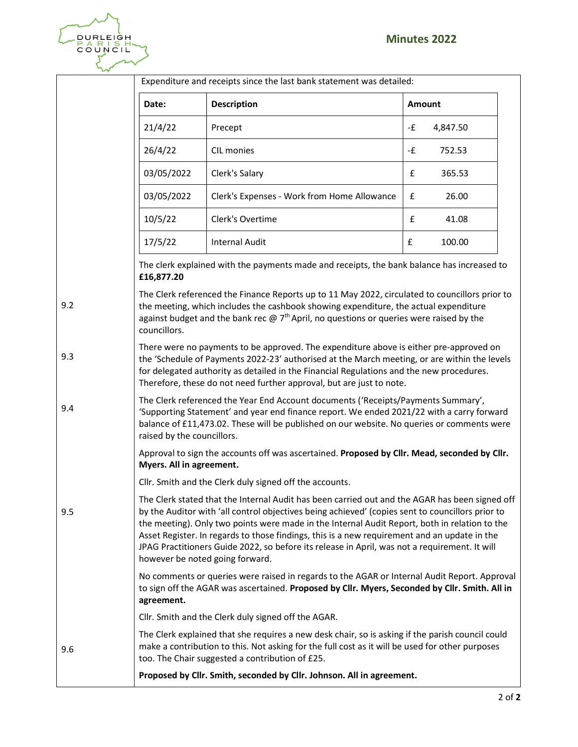

| w   |                                                                                                                                                                                                                                                                                                                                                            | Expenditure and receipts since the last bank statement was detailed:                                                                                                                                                                                                                                                                                                                                                                                                                                 |             |          |  |  |
|-----|------------------------------------------------------------------------------------------------------------------------------------------------------------------------------------------------------------------------------------------------------------------------------------------------------------------------------------------------------------|------------------------------------------------------------------------------------------------------------------------------------------------------------------------------------------------------------------------------------------------------------------------------------------------------------------------------------------------------------------------------------------------------------------------------------------------------------------------------------------------------|-------------|----------|--|--|
|     | Date:                                                                                                                                                                                                                                                                                                                                                      | <b>Description</b><br>Amount                                                                                                                                                                                                                                                                                                                                                                                                                                                                         |             |          |  |  |
|     | 21/4/22                                                                                                                                                                                                                                                                                                                                                    | Precept                                                                                                                                                                                                                                                                                                                                                                                                                                                                                              | -£          | 4,847.50 |  |  |
|     | 26/4/22                                                                                                                                                                                                                                                                                                                                                    | CIL monies                                                                                                                                                                                                                                                                                                                                                                                                                                                                                           | -£          | 752.53   |  |  |
|     | 03/05/2022                                                                                                                                                                                                                                                                                                                                                 | Clerk's Salary                                                                                                                                                                                                                                                                                                                                                                                                                                                                                       | $\mathbf f$ | 365.53   |  |  |
|     | 03/05/2022                                                                                                                                                                                                                                                                                                                                                 | Clerk's Expenses - Work from Home Allowance                                                                                                                                                                                                                                                                                                                                                                                                                                                          | $\mathbf f$ | 26.00    |  |  |
|     | 10/5/22                                                                                                                                                                                                                                                                                                                                                    | Clerk's Overtime                                                                                                                                                                                                                                                                                                                                                                                                                                                                                     | £           | 41.08    |  |  |
|     | 17/5/22                                                                                                                                                                                                                                                                                                                                                    | <b>Internal Audit</b>                                                                                                                                                                                                                                                                                                                                                                                                                                                                                | £           | 100.00   |  |  |
|     | £16,877.20                                                                                                                                                                                                                                                                                                                                                 | The clerk explained with the payments made and receipts, the bank balance has increased to                                                                                                                                                                                                                                                                                                                                                                                                           |             |          |  |  |
| 9.2 | The Clerk referenced the Finance Reports up to 11 May 2022, circulated to councillors prior to<br>the meeting, which includes the cashbook showing expenditure, the actual expenditure<br>against budget and the bank rec $\omega$ 7 <sup>th</sup> April, no questions or queries were raised by the<br>councillors.                                       |                                                                                                                                                                                                                                                                                                                                                                                                                                                                                                      |             |          |  |  |
| 9.3 | There were no payments to be approved. The expenditure above is either pre-approved on<br>the 'Schedule of Payments 2022-23' authorised at the March meeting, or are within the levels<br>for delegated authority as detailed in the Financial Regulations and the new procedures.<br>Therefore, these do not need further approval, but are just to note. |                                                                                                                                                                                                                                                                                                                                                                                                                                                                                                      |             |          |  |  |
| 9.4 | The Clerk referenced the Year End Account documents ('Receipts/Payments Summary',<br>'Supporting Statement' and year end finance report. We ended 2021/22 with a carry forward<br>balance of £11,473.02. These will be published on our website. No queries or comments were<br>raised by the councillors.                                                 |                                                                                                                                                                                                                                                                                                                                                                                                                                                                                                      |             |          |  |  |
|     | Myers. All in agreement.                                                                                                                                                                                                                                                                                                                                   | Approval to sign the accounts off was ascertained. Proposed by Cllr. Mead, seconded by Cllr.                                                                                                                                                                                                                                                                                                                                                                                                         |             |          |  |  |
|     |                                                                                                                                                                                                                                                                                                                                                            | Cllr. Smith and the Clerk duly signed off the accounts.                                                                                                                                                                                                                                                                                                                                                                                                                                              |             |          |  |  |
| 9.5 | however be noted going forward.                                                                                                                                                                                                                                                                                                                            | The Clerk stated that the Internal Audit has been carried out and the AGAR has been signed off<br>by the Auditor with 'all control objectives being achieved' (copies sent to councillors prior to<br>the meeting). Only two points were made in the Internal Audit Report, both in relation to the<br>Asset Register. In regards to those findings, this is a new requirement and an update in the<br>JPAG Practitioners Guide 2022, so before its release in April, was not a requirement. It will |             |          |  |  |
|     | agreement.                                                                                                                                                                                                                                                                                                                                                 | No comments or queries were raised in regards to the AGAR or Internal Audit Report. Approval<br>to sign off the AGAR was ascertained. Proposed by Cllr. Myers, Seconded by Cllr. Smith. All in                                                                                                                                                                                                                                                                                                       |             |          |  |  |
|     |                                                                                                                                                                                                                                                                                                                                                            | Cllr. Smith and the Clerk duly signed off the AGAR.                                                                                                                                                                                                                                                                                                                                                                                                                                                  |             |          |  |  |
| 9.6 | The Clerk explained that she requires a new desk chair, so is asking if the parish council could<br>make a contribution to this. Not asking for the full cost as it will be used for other purposes<br>too. The Chair suggested a contribution of £25.                                                                                                     |                                                                                                                                                                                                                                                                                                                                                                                                                                                                                                      |             |          |  |  |
|     | Proposed by Cllr. Smith, seconded by Cllr. Johnson. All in agreement.                                                                                                                                                                                                                                                                                      |                                                                                                                                                                                                                                                                                                                                                                                                                                                                                                      |             |          |  |  |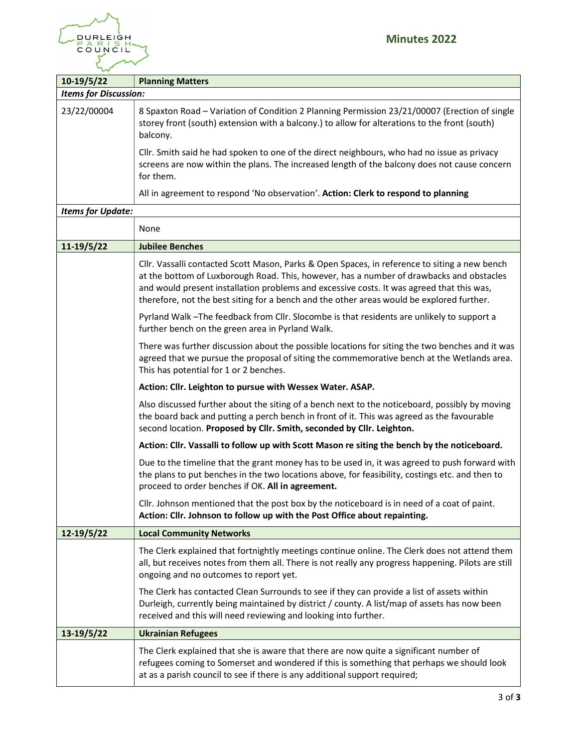



| $10-19/5/22$                 | <b>Planning Matters</b>                                                                                                                                                                                                                                                                                                                                                             |
|------------------------------|-------------------------------------------------------------------------------------------------------------------------------------------------------------------------------------------------------------------------------------------------------------------------------------------------------------------------------------------------------------------------------------|
| <b>Items for Discussion:</b> |                                                                                                                                                                                                                                                                                                                                                                                     |
| 23/22/00004                  | 8 Spaxton Road - Variation of Condition 2 Planning Permission 23/21/00007 (Erection of single<br>storey front (south) extension with a balcony.) to allow for alterations to the front (south)<br>balcony.                                                                                                                                                                          |
|                              | Cllr. Smith said he had spoken to one of the direct neighbours, who had no issue as privacy<br>screens are now within the plans. The increased length of the balcony does not cause concern<br>for them.                                                                                                                                                                            |
|                              | All in agreement to respond 'No observation'. Action: Clerk to respond to planning                                                                                                                                                                                                                                                                                                  |
| <b>Items for Update:</b>     |                                                                                                                                                                                                                                                                                                                                                                                     |
|                              | None                                                                                                                                                                                                                                                                                                                                                                                |
| 11-19/5/22                   | <b>Jubilee Benches</b>                                                                                                                                                                                                                                                                                                                                                              |
|                              | Cllr. Vassalli contacted Scott Mason, Parks & Open Spaces, in reference to siting a new bench<br>at the bottom of Luxborough Road. This, however, has a number of drawbacks and obstacles<br>and would present installation problems and excessive costs. It was agreed that this was,<br>therefore, not the best siting for a bench and the other areas would be explored further. |
|                              | Pyrland Walk-The feedback from Cllr. Slocombe is that residents are unlikely to support a<br>further bench on the green area in Pyrland Walk.                                                                                                                                                                                                                                       |
|                              | There was further discussion about the possible locations for siting the two benches and it was<br>agreed that we pursue the proposal of siting the commemorative bench at the Wetlands area.<br>This has potential for 1 or 2 benches.                                                                                                                                             |
|                              | Action: Cllr. Leighton to pursue with Wessex Water. ASAP.                                                                                                                                                                                                                                                                                                                           |
|                              | Also discussed further about the siting of a bench next to the noticeboard, possibly by moving<br>the board back and putting a perch bench in front of it. This was agreed as the favourable<br>second location. Proposed by Cllr. Smith, seconded by Cllr. Leighton.                                                                                                               |
|                              | Action: Cllr. Vassalli to follow up with Scott Mason re siting the bench by the noticeboard.                                                                                                                                                                                                                                                                                        |
|                              | Due to the timeline that the grant money has to be used in, it was agreed to push forward with<br>the plans to put benches in the two locations above, for feasibility, costings etc. and then to<br>proceed to order benches if OK. All in agreement.                                                                                                                              |
|                              | Cllr. Johnson mentioned that the post box by the noticeboard is in need of a coat of paint.<br>Action: Cllr. Johnson to follow up with the Post Office about repainting.                                                                                                                                                                                                            |
| 12-19/5/22                   | <b>Local Community Networks</b>                                                                                                                                                                                                                                                                                                                                                     |
|                              | The Clerk explained that fortnightly meetings continue online. The Clerk does not attend them<br>all, but receives notes from them all. There is not really any progress happening. Pilots are still<br>ongoing and no outcomes to report yet.                                                                                                                                      |
|                              | The Clerk has contacted Clean Surrounds to see if they can provide a list of assets within<br>Durleigh, currently being maintained by district / county. A list/map of assets has now been<br>received and this will need reviewing and looking into further.                                                                                                                       |
| 13-19/5/22                   | <b>Ukrainian Refugees</b>                                                                                                                                                                                                                                                                                                                                                           |
|                              | The Clerk explained that she is aware that there are now quite a significant number of<br>refugees coming to Somerset and wondered if this is something that perhaps we should look<br>at as a parish council to see if there is any additional support required;                                                                                                                   |